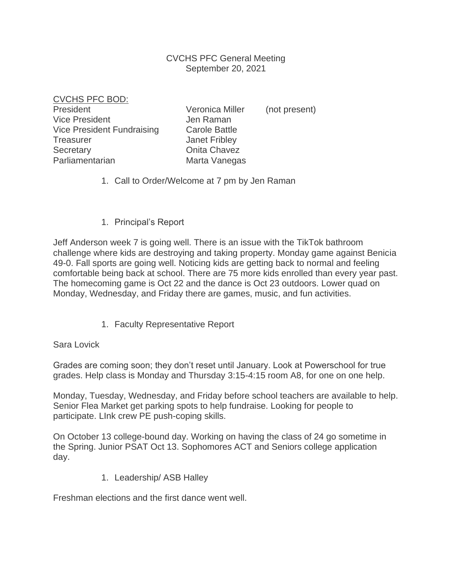## CVCHS PFC General Meeting September 20, 2021

CVCHS PFC BOD:

President Veronica Miller (not present) Vice President **Jen Raman** Vice President Fundraising Carole Battle Treasurer **Internal Communist Communist Communist Communist Communist Communist Communist Communist Communist Communist Communist Communist Communist Communist Communist Communist Communist Communist Communist Communist Co** Secretary **Onita Chavez** Parliamentarian Marta Vanegas

- 1. Call to Order/Welcome at 7 pm by Jen Raman
- 1. Principal's Report

Jeff Anderson week 7 is going well. There is an issue with the TikTok bathroom challenge where kids are destroying and taking property. Monday game against Benicia 49-0. Fall sports are going well. Noticing kids are getting back to normal and feeling comfortable being back at school. There are 75 more kids enrolled than every year past. The homecoming game is Oct 22 and the dance is Oct 23 outdoors. Lower quad on Monday, Wednesday, and Friday there are games, music, and fun activities.

1. Faculty Representative Report

Sara Lovick

Grades are coming soon; they don't reset until January. Look at Powerschool for true grades. Help class is Monday and Thursday 3:15-4:15 room A8, for one on one help.

Monday, Tuesday, Wednesday, and Friday before school teachers are available to help. Senior Flea Market get parking spots to help fundraise. Looking for people to participate. LInk crew PE push-coping skills.

On October 13 college-bound day. Working on having the class of 24 go sometime in the Spring. Junior PSAT Oct 13. Sophomores ACT and Seniors college application day.

1. Leadership/ ASB Halley

Freshman elections and the first dance went well.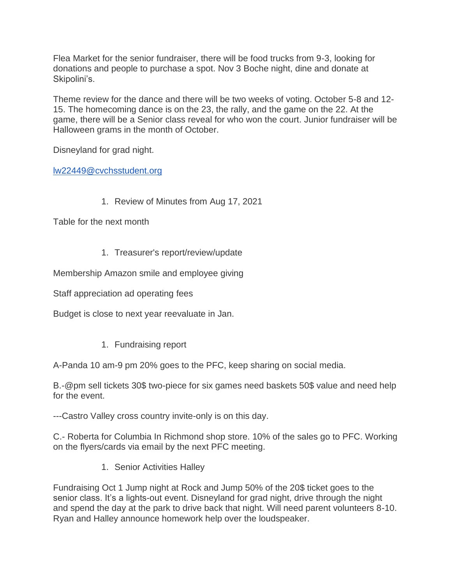Flea Market for the senior fundraiser, there will be food trucks from 9-3, looking for donations and people to purchase a spot. Nov 3 Boche night, dine and donate at Skipolini's.

Theme review for the dance and there will be two weeks of voting. October 5-8 and 12- 15. The homecoming dance is on the 23, the rally, and the game on the 22. At the game, there will be a Senior class reveal for who won the court. Junior fundraiser will be Halloween grams in the month of October.

Disneyland for grad night.

[lw22449@cvchsstudent.org](mailto:lw22449@cvchsstudent.org)

1. Review of Minutes from Aug 17, 2021

Table for the next month

1. Treasurer's report/review/update

Membership Amazon smile and employee giving

Staff appreciation ad operating fees

Budget is close to next year reevaluate in Jan.

1. Fundraising report

A-Panda 10 am-9 pm 20% goes to the PFC, keep sharing on social media.

B.-@pm sell tickets 30\$ two-piece for six games need baskets 50\$ value and need help for the event.

---Castro Valley cross country invite-only is on this day.

C.- Roberta for Columbia In Richmond shop store. 10% of the sales go to PFC. Working on the flyers/cards via email by the next PFC meeting.

1. Senior Activities Halley

Fundraising Oct 1 Jump night at Rock and Jump 50% of the 20\$ ticket goes to the senior class. It's a lights-out event. Disneyland for grad night, drive through the night and spend the day at the park to drive back that night. Will need parent volunteers 8-10. Ryan and Halley announce homework help over the loudspeaker.